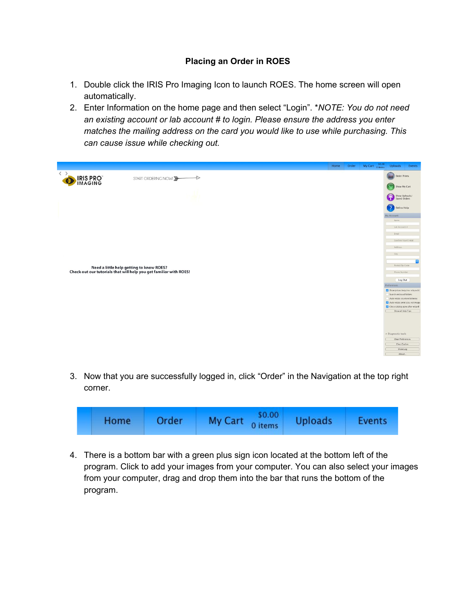## **Placing an Order in ROES**

- 1. Double click the IRIS Pro Imaging Icon to launch ROES. The home screen will open automatically.
- 2. Enter Information on the home page and then select "Login". \**NOTE: You do not need an existing account or lab account # to login. Please ensure the address you enter matches the mailing address on the card you would like to use while purchasing. This can cause issue while checking out.*



3. Now that you are successfully logged in, click "Order" in the Navigation at the top right corner.

|  | Home | Order | My Cart $\frac{$0.00}{0 \text{ items}}$ | <b>Uploads</b> | <b>Events</b> |
|--|------|-------|-----------------------------------------|----------------|---------------|
|--|------|-------|-----------------------------------------|----------------|---------------|

4. There is a bottom bar with a green plus sign icon located at the bottom left of the program. Click to add your images from your computer. You can also select your images from your computer, drag and drop them into the bar that runs the bottom of the program.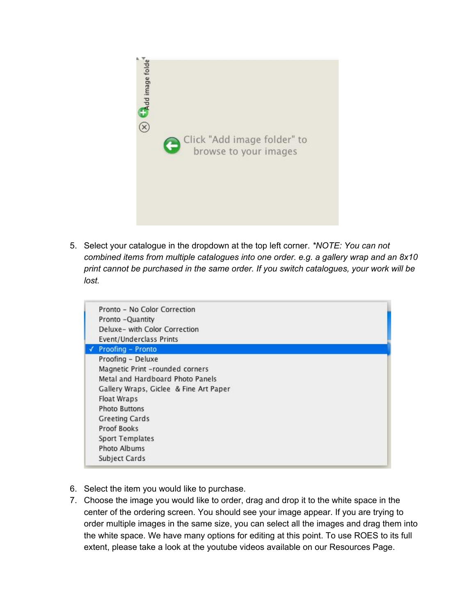

5. Select your catalogue in the dropdown at the top left corner. *\*NOTE: You can not combined items from multiple catalogues into one order. e.g. a gallery wrap and an 8x10 print cannot be purchased in the same order. If you switch catalogues, your work will be lost.*

| Pronto - No Color Correction           |
|----------------------------------------|
| Pronto -Quantity                       |
| Deluxe- with Color Correction          |
| Event/Underclass Prints                |
| Proofing - Pronto                      |
| Proofing - Deluxe                      |
| Magnetic Print -rounded corners        |
| Metal and Hardboard Photo Panels       |
| Gallery Wraps, Giclee & Fine Art Paper |
| <b>Float Wraps</b>                     |
| <b>Photo Buttons</b>                   |
| <b>Greeting Cards</b>                  |
| <b>Proof Books</b>                     |
| Sport Templates                        |
| Photo Albums                           |
| Subject Cards                          |

- 6. Select the item you would like to purchase.
- 7. Choose the image you would like to order, drag and drop it to the white space in the center of the ordering screen. You should see your image appear. If you are trying to order multiple images in the same size, you can select all the images and drag them into the white space. We have many options for editing at this point. To use ROES to its full extent, please take a look at the youtube videos available on our Resources Page.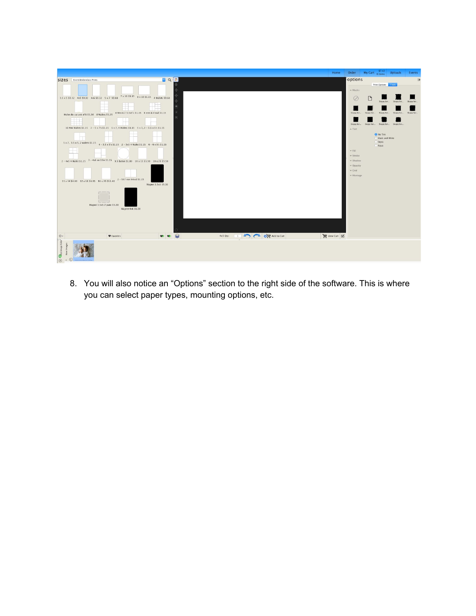

8. You will also notice an "Options" section to the right side of the software. This is where you can select paper types, mounting options, etc.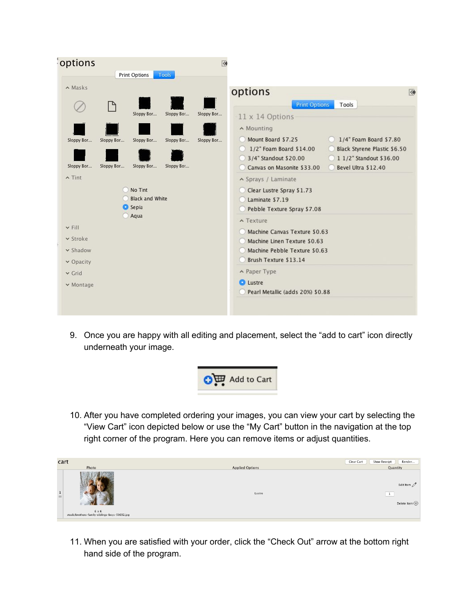| options       |            |                                   |            | $\overline{\Leftrightarrow}$ |                                                                                                         |
|---------------|------------|-----------------------------------|------------|------------------------------|---------------------------------------------------------------------------------------------------------|
|               |            | <b>Print Options</b>              | Tools      |                              |                                                                                                         |
| $\land$ Masks |            |                                   |            |                              | options<br>《                                                                                            |
|               | P          |                                   |            |                              | <b>Print Options</b><br>Tools                                                                           |
|               |            | Sloppy Bor                        | Sloppy Bor | Sloppy Bor                   | 11 x 14 Options                                                                                         |
|               |            |                                   |            |                              | ∧ Mounting                                                                                              |
| Sloppy Bor    | Sloppy Bor | Sloppy Bor                        | Sloppy Bor | Sloppy Bor                   | 1/4" Foam Board \$7.80<br>Mount Board \$7.25<br>1/2" Foam Board \$14.00<br>Black Styrene Plastic \$6.50 |
|               |            |                                   |            |                              | 3/4" Standout \$20.00<br>1 1/2" Standout \$36.00                                                        |
| Sloppy Bor    | Sloppy Bor | Sloppy Bor                        | Sloppy Bor |                              | Canvas on Masonite \$33.00<br>Bevel Ultra \$12.40                                                       |
| $\land$ Tint  |            |                                   |            |                              | ▲ Sprays / Laminate                                                                                     |
|               |            | No Tint<br><b>Black and White</b> |            |                              | Clear Lustre Spray \$1.73                                                                               |
|               |            | <b>O</b> Sepia                    |            |                              | Laminate \$7.19<br>Pebble Texture Spray \$7.08                                                          |
|               |            | Aqua                              |            |                              | $\lambda$ Texture                                                                                       |
| v Fill        |            |                                   |            |                              | Machine Canvas Texture \$0.63                                                                           |
| v Stroke      |            |                                   |            |                              | Machine Linen Texture \$0.63                                                                            |
| v Shadow      |            |                                   |            |                              | Machine Pebble Texture \$0.63                                                                           |
| v Opacity     |            |                                   |            |                              | Brush Texture \$13.14                                                                                   |
| $\vee$ Grid   |            |                                   |            |                              | A Paper Type                                                                                            |
| v Montage     |            |                                   |            |                              | <b>O</b> Lustre<br>Pearl Metallic (adds 20%) \$0.88                                                     |
|               |            |                                   |            |                              |                                                                                                         |
|               |            |                                   |            |                              |                                                                                                         |

9. Once you are happy with all editing and placement, select the "add to cart" icon directly underneath your image.



10. After you have completed ordering your images, you can view your cart by selecting the "View Cart" icon depicted below or use the "My Cart" button in the navigation at the top right corner of the program. Here you can remove items or adjust quantities.



11. When you are satisfied with your order, click the "Check Out" arrow at the bottom right hand side of the program.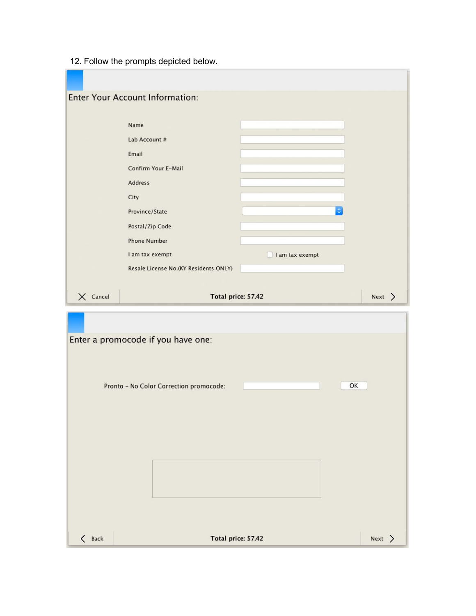12. Follow the prompts depicted below.

|                 | <b>Enter Your Account Information:</b>  |                 |        |
|-----------------|-----------------------------------------|-----------------|--------|
|                 |                                         |                 |        |
|                 | Name                                    |                 |        |
|                 | Lab Account #                           |                 |        |
|                 | Email                                   |                 |        |
|                 | Confirm Your E-Mail                     |                 |        |
|                 | <b>Address</b>                          |                 |        |
|                 | City                                    |                 |        |
|                 | Province/State                          |                 |        |
|                 | Postal/Zip Code                         |                 |        |
|                 | <b>Phone Number</b>                     |                 |        |
|                 | I am tax exempt                         | I am tax exempt |        |
|                 | Resale License No.(KY Residents ONLY)   |                 |        |
| $\times$ Cancel | Total price: \$7.42                     |                 | Next > |
|                 |                                         |                 |        |
|                 |                                         |                 |        |
|                 |                                         |                 |        |
|                 | Enter a promocode if you have one:      |                 |        |
|                 |                                         |                 |        |
|                 |                                         |                 |        |
|                 |                                         | OK              |        |
|                 | Pronto - No Color Correction promocode: |                 |        |
|                 |                                         |                 |        |
|                 |                                         |                 |        |
|                 |                                         |                 |        |
|                 |                                         |                 |        |
|                 |                                         |                 |        |
|                 |                                         |                 |        |
|                 |                                         |                 |        |
|                 |                                         |                 |        |
| $\langle$ Back  | Total price: \$7.42                     |                 | Next > |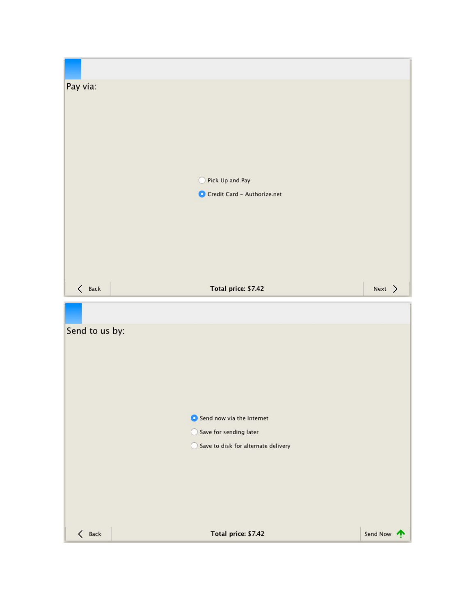| Pay via:       | Pick Up and Pay<br>0<br>Credit Card - Authorize.net                                        |        |  |
|----------------|--------------------------------------------------------------------------------------------|--------|--|
| $\langle$ Back | Total price: \$7.42                                                                        | Next > |  |
|                |                                                                                            |        |  |
| Send to us by: |                                                                                            |        |  |
|                | Send now via the Internet<br>Save for sending later<br>Save to disk for alternate delivery |        |  |